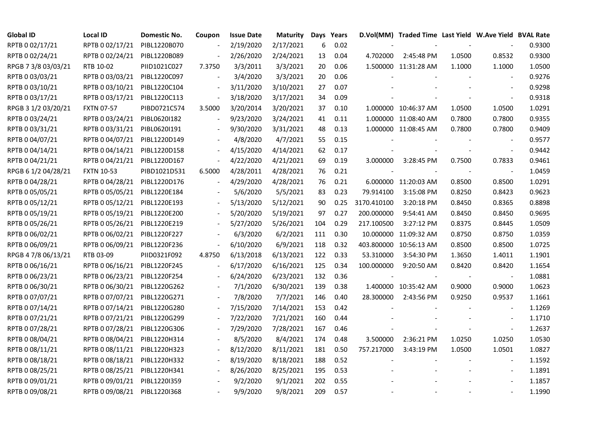| <b>Global ID</b>    | <b>Local ID</b>   | Domestic No. | Coupon                   | <b>Issue Date</b> | <b>Maturity</b> |     | Days Years |             | D.Vol(MM) Traded Time Last Yield W.Ave Yield BVAL Rate |        |                          |        |
|---------------------|-------------------|--------------|--------------------------|-------------------|-----------------|-----|------------|-------------|--------------------------------------------------------|--------|--------------------------|--------|
| RPTB 0 02/17/21     | RPTB 0 02/17/21   | PIBL1220B070 |                          | 2/19/2020         | 2/17/2021       | 6   | 0.02       |             |                                                        |        |                          | 0.9300 |
| RPTB 0 02/24/21     | RPTB 0 02/24/21   | PIBL1220B089 |                          | 2/26/2020         | 2/24/2021       | 13  | 0.04       | 4.702000    | 2:45:48 PM                                             | 1.0500 | 0.8532                   | 0.9300 |
| RPGB 7 3/8 03/03/21 | RTB 10-02         | PIID1021C027 | 7.3750                   | 3/3/2011          | 3/3/2021        | 20  | 0.06       |             | 1.500000 11:31:28 AM                                   | 1.1000 | 1.1000                   | 1.0500 |
| RPTB 0 03/03/21     | RPTB 0 03/03/21   | PIBL1220C097 | $\overline{\phantom{a}}$ | 3/4/2020          | 3/3/2021        | 20  | 0.06       |             |                                                        |        |                          | 0.9276 |
| RPTB 0 03/10/21     | RPTB 0 03/10/21   | PIBL1220C104 |                          | 3/11/2020         | 3/10/2021       | 27  | 0.07       |             |                                                        |        |                          | 0.9298 |
| RPTB 0 03/17/21     | RPTB 0 03/17/21   | PIBL1220C113 | $\blacksquare$           | 3/18/2020         | 3/17/2021       | 34  | 0.09       |             |                                                        |        |                          | 0.9318 |
| RPGB 3 1/2 03/20/21 | <b>FXTN 07-57</b> | PIBD0721C574 | 3.5000                   | 3/20/2014         | 3/20/2021       | 37  | 0.10       |             | 1.000000 10:46:37 AM                                   | 1.0500 | 1.0500                   | 1.0291 |
| RPTB 0 03/24/21     | RPTB 0 03/24/21   | PIBL0620I182 |                          | 9/23/2020         | 3/24/2021       | 41  | 0.11       |             | 1.000000 11:08:40 AM                                   | 0.7800 | 0.7800                   | 0.9355 |
| RPTB 0 03/31/21     | RPTB 0 03/31/21   | PIBL0620I191 |                          | 9/30/2020         | 3/31/2021       | 48  | 0.13       |             | 1.000000 11:08:45 AM                                   | 0.7800 | 0.7800                   | 0.9409 |
| RPTB 0 04/07/21     | RPTB 0 04/07/21   | PIBL1220D149 |                          | 4/8/2020          | 4/7/2021        | 55  | 0.15       |             |                                                        |        |                          | 0.9577 |
| RPTB 0 04/14/21     | RPTB 0 04/14/21   | PIBL1220D158 | $\overline{\phantom{a}}$ | 4/15/2020         | 4/14/2021       | 62  | 0.17       |             |                                                        |        | $\blacksquare$           | 0.9442 |
| RPTB 0 04/21/21     | RPTB 0 04/21/21   | PIBL1220D167 | $\overline{\phantom{a}}$ | 4/22/2020         | 4/21/2021       | 69  | 0.19       | 3.000000    | 3:28:45 PM                                             | 0.7500 | 0.7833                   | 0.9461 |
| RPGB 6 1/2 04/28/21 | <b>FXTN 10-53</b> | PIBD1021D531 | 6.5000                   | 4/28/2011         | 4/28/2021       | 76  | 0.21       |             |                                                        |        | $\blacksquare$           | 1.0459 |
| RPTB 0 04/28/21     | RPTB 0 04/28/21   | PIBL1220D176 | $\overline{\phantom{a}}$ | 4/29/2020         | 4/28/2021       | 76  | 0.21       |             | 6.000000 11:20:03 AM                                   | 0.8500 | 0.8500                   | 1.0291 |
| RPTB 0 05/05/21     | RPTB 0 05/05/21   | PIBL1220E184 |                          | 5/6/2020          | 5/5/2021        | 83  | 0.23       | 79.914100   | 3:15:08 PM                                             | 0.8250 | 0.8423                   | 0.9623 |
| RPTB 0 05/12/21     | RPTB 0 05/12/21   | PIBL1220E193 |                          | 5/13/2020         | 5/12/2021       | 90  | 0.25       | 3170.410100 | 3:20:18 PM                                             | 0.8450 | 0.8365                   | 0.8898 |
| RPTB 0 05/19/21     | RPTB 0 05/19/21   | PIBL1220E200 |                          | 5/20/2020         | 5/19/2021       | 97  | 0.27       | 200.000000  | 9:54:41 AM                                             | 0.8450 | 0.8450                   | 0.9695 |
| RPTB 0 05/26/21     | RPTB 0 05/26/21   | PIBL1220E219 | $\blacksquare$           | 5/27/2020         | 5/26/2021       | 104 | 0.29       | 217.100500  | 3:27:12 PM                                             | 0.8375 | 0.8445                   | 1.0509 |
| RPTB 0 06/02/21     | RPTB 0 06/02/21   | PIBL1220F227 |                          | 6/3/2020          | 6/2/2021        | 111 | 0.30       |             | 10.000000 11:09:32 AM                                  | 0.8750 | 0.8750                   | 1.0359 |
| RPTB 0 06/09/21     | RPTB 0 06/09/21   | PIBL1220F236 | $\overline{\phantom{a}}$ | 6/10/2020         | 6/9/2021        | 118 | 0.32       |             | 403.800000 10:56:13 AM                                 | 0.8500 | 0.8500                   | 1.0725 |
| RPGB 4 7/8 06/13/21 | RTB 03-09         | PIID0321F092 | 4.8750                   | 6/13/2018         | 6/13/2021       | 122 | 0.33       | 53.310000   | 3:54:30 PM                                             | 1.3650 | 1.4011                   | 1.1901 |
| RPTB 0 06/16/21     | RPTB 0 06/16/21   | PIBL1220F245 |                          | 6/17/2020         | 6/16/2021       | 125 | 0.34       | 100.000000  | 9:20:50 AM                                             | 0.8420 | 0.8420                   | 1.1654 |
| RPTB 0 06/23/21     | RPTB 0 06/23/21   | PIBL1220F254 |                          | 6/24/2020         | 6/23/2021       | 132 | 0.36       |             |                                                        |        |                          | 1.0881 |
| RPTB 0 06/30/21     | RPTB 0 06/30/21   | PIBL1220G262 |                          | 7/1/2020          | 6/30/2021       | 139 | 0.38       |             | 1.400000 10:35:42 AM                                   | 0.9000 | 0.9000                   | 1.0623 |
| RPTB 0 07/07/21     | RPTB 0 07/07/21   | PIBL1220G271 |                          | 7/8/2020          | 7/7/2021        | 146 | 0.40       | 28.300000   | 2:43:56 PM                                             | 0.9250 | 0.9537                   | 1.1661 |
| RPTB 0 07/14/21     | RPTB 0 07/14/21   | PIBL1220G280 |                          | 7/15/2020         | 7/14/2021       | 153 | 0.42       |             |                                                        |        | $\blacksquare$           | 1.1269 |
| RPTB 0 07/21/21     | RPTB 0 07/21/21   | PIBL1220G299 |                          | 7/22/2020         | 7/21/2021       | 160 | 0.44       |             |                                                        |        | $\blacksquare$           | 1.1710 |
| RPTB 0 07/28/21     | RPTB 0 07/28/21   | PIBL1220G306 |                          | 7/29/2020         | 7/28/2021       | 167 | 0.46       |             |                                                        |        | $\blacksquare$           | 1.2637 |
| RPTB 0 08/04/21     | RPTB 0 08/04/21   | PIBL1220H314 |                          | 8/5/2020          | 8/4/2021        | 174 | 0.48       | 3.500000    | 2:36:21 PM                                             | 1.0250 | 1.0250                   | 1.0530 |
| RPTB 0 08/11/21     | RPTB 0 08/11/21   | PIBL1220H323 |                          | 8/12/2020         | 8/11/2021       | 181 | 0.50       | 757.217000  | 3:43:19 PM                                             | 1.0500 | 1.0501                   | 1.0827 |
| RPTB 0 08/18/21     | RPTB 0 08/18/21   | PIBL1220H332 |                          | 8/19/2020         | 8/18/2021       | 188 | 0.52       |             |                                                        |        | $\blacksquare$           | 1.1592 |
| RPTB 0 08/25/21     | RPTB 0 08/25/21   | PIBL1220H341 |                          | 8/26/2020         | 8/25/2021       | 195 | 0.53       |             |                                                        |        | $\overline{\phantom{a}}$ | 1.1891 |
| RPTB 0 09/01/21     | RPTB 0 09/01/21   | PIBL1220I359 |                          | 9/2/2020          | 9/1/2021        | 202 | 0.55       |             |                                                        |        |                          | 1.1857 |
| RPTB 0 09/08/21     | RPTB 0 09/08/21   | PIBL1220I368 |                          | 9/9/2020          | 9/8/2021        | 209 | 0.57       |             |                                                        |        |                          | 1.1990 |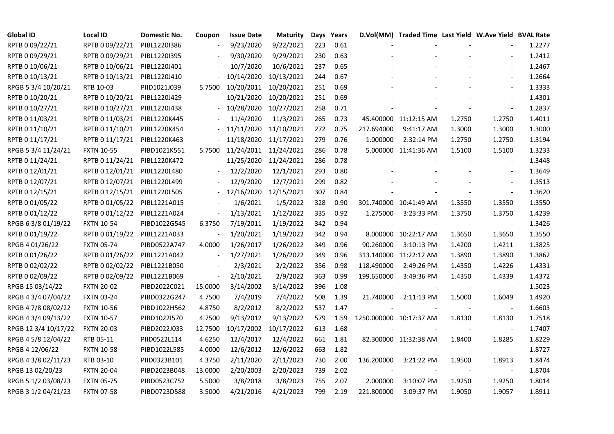| <b>Global ID</b>     | <b>Local ID</b>   | Domestic No. | Coupon                   | <b>Issue Date</b> | <b>Maturity</b> |     | Days Years |            | D.Vol(MM) Traded Time Last Yield W.Ave Yield BVAL Rate |        |                          |        |
|----------------------|-------------------|--------------|--------------------------|-------------------|-----------------|-----|------------|------------|--------------------------------------------------------|--------|--------------------------|--------|
| RPTB 0 09/22/21      | RPTB 0 09/22/21   | PIBL1220I386 | $\overline{\phantom{a}}$ | 9/23/2020         | 9/22/2021       | 223 | 0.61       |            |                                                        |        |                          | 1.2277 |
| RPTB 0 09/29/21      | RPTB 0 09/29/21   | PIBL1220I395 |                          | 9/30/2020         | 9/29/2021       | 230 | 0.63       |            |                                                        |        |                          | 1.2412 |
| RPTB 0 10/06/21      | RPTB 0 10/06/21   | PIBL1220J401 |                          | 10/7/2020         | 10/6/2021       | 237 | 0.65       |            |                                                        |        | $\overline{\phantom{a}}$ | 1.2467 |
| RPTB 0 10/13/21      | RPTB 0 10/13/21   | PIBL1220J410 |                          | 10/14/2020        | 10/13/2021      | 244 | 0.67       |            |                                                        |        | $\blacksquare$           | 1.2664 |
| RPGB 5 3/4 10/20/21  | RTB 10-03         | PIID1021J039 | 5.7500                   | 10/20/2011        | 10/20/2021      | 251 | 0.69       |            |                                                        |        | $\blacksquare$           | 1.3333 |
| RPTB 0 10/20/21      | RPTB 0 10/20/21   | PIBL1220J429 |                          | 10/21/2020        | 10/20/2021      | 251 | 0.69       |            |                                                        |        |                          | 1.4301 |
| RPTB 0 10/27/21      | RPTB 0 10/27/21   | PIBL1220J438 |                          | 10/28/2020        | 10/27/2021      | 258 | 0.71       |            |                                                        |        | $\sim$                   | 1.2837 |
| RPTB 0 11/03/21      | RPTB 0 11/03/21   | PIBL1220K445 |                          | 11/4/2020         | 11/3/2021       | 265 | 0.73       |            | 45.400000 11:12:15 AM                                  | 1.2750 | 1.2750                   | 1.4011 |
| RPTB 0 11/10/21      | RPTB 0 11/10/21   | PIBL1220K454 |                          | 11/11/2020        | 11/10/2021      | 272 | 0.75       | 217.694000 | 9:41:17 AM                                             | 1.3000 | 1.3000                   | 1.3000 |
| RPTB 0 11/17/21      | RPTB 0 11/17/21   | PIBL1220K463 |                          | 11/18/2020        | 11/17/2021      | 279 | 0.76       | 1.000000   | 2:32:14 PM                                             | 1.2750 | 1.2750                   | 1.3194 |
| RPGB 5 3/4 11/24/21  | <b>FXTN 10-55</b> | PIBD1021K551 | 5.7500                   | 11/24/2011        | 11/24/2021      | 286 | 0.78       |            | 5.000000 11:41:36 AM                                   | 1.5100 | 1.5100                   | 1.3233 |
| RPTB 0 11/24/21      | RPTB 0 11/24/21   | PIBL1220K472 | $\overline{\phantom{a}}$ | 11/25/2020        | 11/24/2021      | 286 | 0.78       |            |                                                        |        |                          | 1.3448 |
| RPTB 0 12/01/21      | RPTB 0 12/01/21   | PIBL1220L480 |                          | 12/2/2020         | 12/1/2021       | 293 | 0.80       |            |                                                        |        | $\overline{\phantom{a}}$ | 1.3649 |
| RPTB 0 12/07/21      | RPTB 0 12/07/21   | PIBL1220L499 |                          | 12/9/2020         | 12/7/2021       | 299 | 0.82       |            |                                                        |        | $\overline{\phantom{a}}$ | 1.3513 |
| RPTB 0 12/15/21      | RPTB 0 12/15/21   | PIBL1220L505 |                          | 12/16/2020        | 12/15/2021      | 307 | 0.84       |            |                                                        |        | $\blacksquare$           | 1.3620 |
| RPTB 0 01/05/22      | RPTB 0 01/05/22   | PIBL1221A015 |                          | 1/6/2021          | 1/5/2022        | 328 | 0.90       |            | 301.740000 10:41:49 AM                                 | 1.3550 | 1.3550                   | 1.3550 |
| RPTB 0 01/12/22      | RPTB 0 01/12/22   | PIBL1221A024 | $\overline{\phantom{a}}$ | 1/13/2021         | 1/12/2022       | 335 | 0.92       | 1.275000   | 3:23:33 PM                                             | 1.3750 | 1.3750                   | 1.4239 |
| RPGB 63/8 01/19/22   | <b>FXTN 10-54</b> | PIBD1022G545 | 6.3750                   | 7/19/2011         | 1/19/2022       | 342 | 0.94       |            |                                                        |        |                          | 1.3426 |
| RPTB 0 01/19/22      | RPTB 0 01/19/22   | PIBL1221A033 |                          | 1/20/2021         | 1/19/2022       | 342 | 0.94       |            | 8.000000 10:22:17 AM                                   | 1.3650 | 1.3650                   | 1.3550 |
| RPGB 4 01/26/22      | <b>FXTN 05-74</b> | PIBD0522A747 | 4.0000                   | 1/26/2017         | 1/26/2022       | 349 | 0.96       | 90.260000  | 3:10:13 PM                                             | 1.4200 | 1.4211                   | 1.3825 |
| RPTB 0 01/26/22      | RPTB 0 01/26/22   | PIBL1221A042 | $\blacksquare$           | 1/27/2021         | 1/26/2022       | 349 | 0.96       |            | 313.140000 11:22:12 AM                                 | 1.3890 | 1.3890                   | 1.3862 |
| RPTB 0 02/02/22      | RPTB 0 02/02/22   | PIBL1221B050 |                          | 2/3/2021          | 2/2/2022        | 356 | 0.98       | 118.490000 | 2:49:26 PM                                             | 1.4350 | 1.4226                   | 1.4331 |
| RPTB 0 02/09/22      | RPTB 0 02/09/22   | PIBL1221B069 | $\blacksquare$           | 2/10/2021         | 2/9/2022        | 363 | 0.99       | 199.650000 | 3:49:36 PM                                             | 1.4350 | 1.4339                   | 1.4372 |
| RPGB 15 03/14/22     | <b>FXTN 20-02</b> | PIBD2022C021 | 15.0000                  | 3/14/2002         | 3/14/2022       | 396 | 1.08       |            |                                                        |        |                          | 1.5023 |
| RPGB 4 3/4 07/04/22  | <b>FXTN 03-24</b> | PIBD0322G247 | 4.7500                   | 7/4/2019          | 7/4/2022        | 508 | 1.39       | 21.740000  | 2:11:13 PM                                             | 1.5000 | 1.6049                   | 1.4920 |
| RPGB 4 7/8 08/02/22  | <b>FXTN 10-56</b> | PIBD1022H562 | 4.8750                   | 8/2/2012          | 8/2/2022        | 537 | 1.47       |            |                                                        |        | $\overline{\phantom{a}}$ | 1.6603 |
| RPGB 4 3/4 09/13/22  | <b>FXTN 10-57</b> | PIBD1022I570 | 4.7500                   | 9/13/2012         | 9/13/2022       | 579 | 1.59       |            | 1250.000000 10:17:37 AM                                | 1.8130 | 1.8130                   | 1.7518 |
| RPGB 12 3/4 10/17/22 | <b>FXTN 20-03</b> | PIBD2022J033 | 12.7500                  | 10/17/2002        | 10/17/2022      | 613 | 1.68       |            |                                                        |        | $\blacksquare$           | 1.7407 |
| RPGB 4 5/8 12/04/22  | RTB 05-11         | PIID0522L114 | 4.6250                   | 12/4/2017         | 12/4/2022       | 661 | 1.81       |            | 82.300000 11:32:38 AM                                  | 1.8400 | 1.8285                   | 1.8229 |
| RPGB 4 12/06/22      | <b>FXTN 10-58</b> | PIBD1022L585 | 4.0000                   | 12/6/2012         | 12/6/2022       | 663 | 1.82       |            |                                                        |        |                          | 1.8727 |
| RPGB 4 3/8 02/11/23  | RTB 03-10         | PIID0323B101 | 4.3750                   | 2/11/2020         | 2/11/2023       | 730 | 2.00       | 136.200000 | 3:21:22 PM                                             | 1.9500 | 1.8913                   | 1.8474 |
| RPGB 13 02/20/23     | <b>FXTN 20-04</b> | PIBD2023B048 | 13.0000                  | 2/20/2003         | 2/20/2023       | 739 | 2.02       |            |                                                        |        |                          | 1.8704 |
| RPGB 5 1/2 03/08/23  | <b>FXTN 05-75</b> | PIBD0523C752 | 5.5000                   | 3/8/2018          | 3/8/2023        | 755 | 2.07       | 2.000000   | 3:10:07 PM                                             | 1.9250 | 1.9250                   | 1.8014 |
| RPGB 3 1/2 04/21/23  | <b>FXTN 07-58</b> | PIBD0723D588 | 3.5000                   | 4/21/2016         | 4/21/2023       | 799 | 2.19       | 221.800000 | 3:09:37 PM                                             | 1.9050 | 1.9057                   | 1.8911 |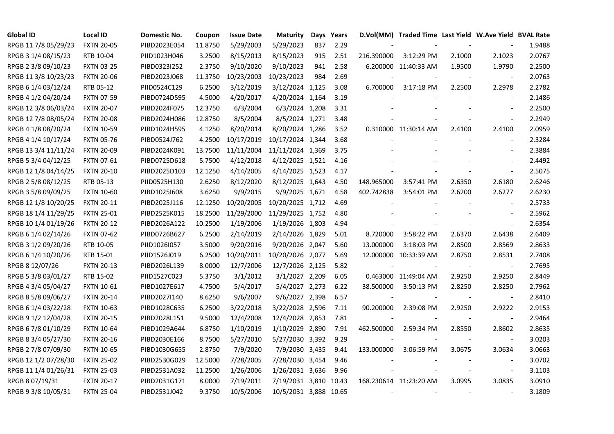| <b>Global ID</b>     | <b>Local ID</b>   | Domestic No. | Coupon  | <b>Issue Date</b> | <b>Maturity</b>       |     | Days Years |            | D.Vol(MM) Traded Time Last Yield W.Ave Yield BVAL Rate |        |                          |        |
|----------------------|-------------------|--------------|---------|-------------------|-----------------------|-----|------------|------------|--------------------------------------------------------|--------|--------------------------|--------|
| RPGB 11 7/8 05/29/23 | <b>FXTN 20-05</b> | PIBD2023E054 | 11.8750 | 5/29/2003         | 5/29/2023             | 837 | 2.29       |            |                                                        |        |                          | 1.9488 |
| RPGB 3 1/4 08/15/23  | RTB 10-04         | PIID1023H046 | 3.2500  | 8/15/2013         | 8/15/2023             | 915 | 2.51       | 216.390000 | 3:12:29 PM                                             | 2.1000 | 2.1023                   | 2.0767 |
| RPGB 2 3/8 09/10/23  | <b>FXTN 03-25</b> | PIBD0323I252 | 2.3750  | 9/10/2020         | 9/10/2023             | 941 | 2.58       |            | 6.200000 11:40:33 AM                                   | 1.9500 | 1.9790                   | 2.2500 |
| RPGB 11 3/8 10/23/23 | <b>FXTN 20-06</b> | PIBD2023J068 | 11.3750 | 10/23/2003        | 10/23/2023            | 984 | 2.69       |            |                                                        |        | $\overline{\phantom{a}}$ | 2.0763 |
| RPGB 6 1/4 03/12/24  | RTB 05-12         | PIID0524C129 | 6.2500  | 3/12/2019         | 3/12/2024 1,125       |     | 3.08       | 6.700000   | 3:17:18 PM                                             | 2.2500 | 2.2978                   | 2.2782 |
| RPGB 4 1/2 04/20/24  | <b>FXTN 07-59</b> | PIBD0724D595 | 4.5000  | 4/20/2017         | 4/20/2024 1,164       |     | 3.19       |            |                                                        |        | $\overline{\phantom{a}}$ | 2.1486 |
| RPGB 12 3/8 06/03/24 | <b>FXTN 20-07</b> | PIBD2024F075 | 12.3750 | 6/3/2004          | 6/3/2024 1,208        |     | 3.31       |            |                                                        |        | $\blacksquare$           | 2.2500 |
| RPGB 12 7/8 08/05/24 | <b>FXTN 20-08</b> | PIBD2024H086 | 12.8750 | 8/5/2004          | 8/5/2024 1,271        |     | 3.48       |            |                                                        |        | $\blacksquare$           | 2.2949 |
| RPGB 4 1/8 08/20/24  | <b>FXTN 10-59</b> | PIBD1024H595 | 4.1250  | 8/20/2014         | 8/20/2024 1,286       |     | 3.52       |            | 0.310000 11:30:14 AM                                   | 2.4100 | 2.4100                   | 2.0959 |
| RPGB 4 1/4 10/17/24  | <b>FXTN 05-76</b> | PIBD0524J762 | 4.2500  | 10/17/2019        | 10/17/2024 1,344      |     | 3.68       |            |                                                        |        | $\overline{\phantom{a}}$ | 2.3284 |
| RPGB 13 3/4 11/11/24 | <b>FXTN 20-09</b> | PIBD2024K091 | 13.7500 | 11/11/2004        | 11/11/2024 1,369      |     | 3.75       |            |                                                        |        | $\blacksquare$           | 2.3884 |
| RPGB 5 3/4 04/12/25  | FXTN 07-61        | PIBD0725D618 | 5.7500  | 4/12/2018         | 4/12/2025 1,521       |     | 4.16       |            |                                                        |        | $\blacksquare$           | 2.4492 |
| RPGB 12 1/8 04/14/25 | <b>FXTN 20-10</b> | PIBD2025D103 | 12.1250 | 4/14/2005         | 4/14/2025 1,523       |     | 4.17       |            |                                                        |        | $\omega$                 | 2.5075 |
| RPGB 2 5/8 08/12/25  | RTB 05-13         | PIID0525H130 | 2.6250  | 8/12/2020         | 8/12/2025 1,643       |     | 4.50       | 148.965000 | 3:57:41 PM                                             | 2.6350 | 2.6180                   | 2.6246 |
| RPGB 3 5/8 09/09/25  | <b>FXTN 10-60</b> | PIBD10251608 | 3.6250  | 9/9/2015          | 9/9/2025 1,671        |     | 4.58       | 402.742838 | 3:54:01 PM                                             | 2.6200 | 2.6277                   | 2.6230 |
| RPGB 12 1/8 10/20/25 | <b>FXTN 20-11</b> | PIBD2025J116 | 12.1250 | 10/20/2005        | 10/20/2025 1,712      |     | 4.69       |            |                                                        |        |                          | 2.5733 |
| RPGB 18 1/4 11/29/25 | <b>FXTN 25-01</b> | PIBD2525K015 | 18.2500 | 11/29/2000        | 11/29/2025 1,752      |     | 4.80       |            |                                                        |        | $\sim$                   | 2.5962 |
| RPGB 10 1/4 01/19/26 | <b>FXTN 20-12</b> | PIBD2026A122 | 10.2500 | 1/19/2006         | 1/19/2026 1,803       |     | 4.94       |            |                                                        |        | $\blacksquare$           | 2.6354 |
| RPGB 6 1/4 02/14/26  | <b>FXTN 07-62</b> | PIBD0726B627 | 6.2500  | 2/14/2019         | 2/14/2026 1,829       |     | 5.01       | 8.720000   | 3:58:22 PM                                             | 2.6370 | 2.6438                   | 2.6409 |
| RPGB 3 1/2 09/20/26  | RTB 10-05         | PIID1026I057 | 3.5000  | 9/20/2016         | 9/20/2026 2,047       |     | 5.60       | 13.000000  | 3:18:03 PM                                             | 2.8500 | 2.8569                   | 2.8633 |
| RPGB 6 1/4 10/20/26  | RTB 15-01         | PIID1526J019 | 6.2500  | 10/20/2011        | 10/20/2026 2,077      |     | 5.69       |            | 12.000000 10:33:39 AM                                  | 2.8750 | 2.8531                   | 2.7408 |
| RPGB 8 12/07/26      | <b>FXTN 20-13</b> | PIBD2026L139 | 8.0000  | 12/7/2006         | 12/7/2026 2,125       |     | 5.82       |            |                                                        |        | $\sim$                   | 2.7695 |
| RPGB 5 3/8 03/01/27  | RTB 15-02         | PIID1527C023 | 5.3750  | 3/1/2012          | 3/1/2027 2,209        |     | 6.05       |            | 0.463000 11:49:04 AM                                   | 2.9250 | 2.9250                   | 2.8449 |
| RPGB 4 3/4 05/04/27  | <b>FXTN 10-61</b> | PIBD1027E617 | 4.7500  | 5/4/2017          | 5/4/2027 2,273        |     | 6.22       | 38.500000  | 3:50:13 PM                                             | 2.8250 | 2.8250                   | 2.7962 |
| RPGB 8 5/8 09/06/27  | <b>FXTN 20-14</b> | PIBD2027I140 | 8.6250  | 9/6/2007          | 9/6/2027 2,398        |     | 6.57       |            |                                                        |        | $\blacksquare$           | 2.8410 |
| RPGB 6 1/4 03/22/28  | <b>FXTN 10-63</b> | PIBD1028C635 | 6.2500  | 3/22/2018         | 3/22/2028 2,596       |     | 7.11       | 90.200000  | 2:39:08 PM                                             | 2.9250 | 2.9222                   | 2.9153 |
| RPGB 9 1/2 12/04/28  | <b>FXTN 20-15</b> | PIBD2028L151 | 9.5000  | 12/4/2008         | 12/4/2028 2,853       |     | 7.81       |            |                                                        |        | $\blacksquare$           | 2.9464 |
| RPGB 6 7/8 01/10/29  | <b>FXTN 10-64</b> | PIBD1029A644 | 6.8750  | 1/10/2019         | 1/10/2029 2,890       |     | 7.91       | 462.500000 | 2:59:34 PM                                             | 2.8550 | 2.8602                   | 2.8635 |
| RPGB 8 3/4 05/27/30  | <b>FXTN 20-16</b> | PIBD2030E166 | 8.7500  | 5/27/2010         | 5/27/2030 3,392       |     | 9.29       |            |                                                        |        | $\overline{\phantom{a}}$ | 3.0203 |
| RPGB 2 7/8 07/09/30  | <b>FXTN 10-65</b> | PIBD1030G655 | 2.8750  | 7/9/2020          | 7/9/2030 3,435        |     | 9.41       | 133.000000 | 3:06:59 PM                                             | 3.0675 | 3.0634                   | 3.0663 |
| RPGB 12 1/2 07/28/30 | <b>FXTN 25-02</b> | PIBD2530G029 | 12.5000 | 7/28/2005         | 7/28/2030 3,454       |     | 9.46       |            |                                                        |        | $\overline{a}$           | 3.0702 |
| RPGB 11 1/4 01/26/31 | <b>FXTN 25-03</b> | PIBD2531A032 | 11.2500 | 1/26/2006         | 1/26/2031 3,636       |     | 9.96       |            |                                                        |        | $\blacksquare$           | 3.1103 |
| RPGB 8 07/19/31      | <b>FXTN 20-17</b> | PIBD2031G171 | 8.0000  | 7/19/2011         | 7/19/2031 3,810       |     | 10.43      |            | 168.230614 11:23:20 AM                                 | 3.0995 | 3.0835                   | 3.0910 |
| RPGB 9 3/8 10/05/31  | <b>FXTN 25-04</b> | PIBD2531J042 | 9.3750  | 10/5/2006         | 10/5/2031 3,888 10.65 |     |            |            |                                                        |        | $\overline{\phantom{a}}$ | 3.1809 |